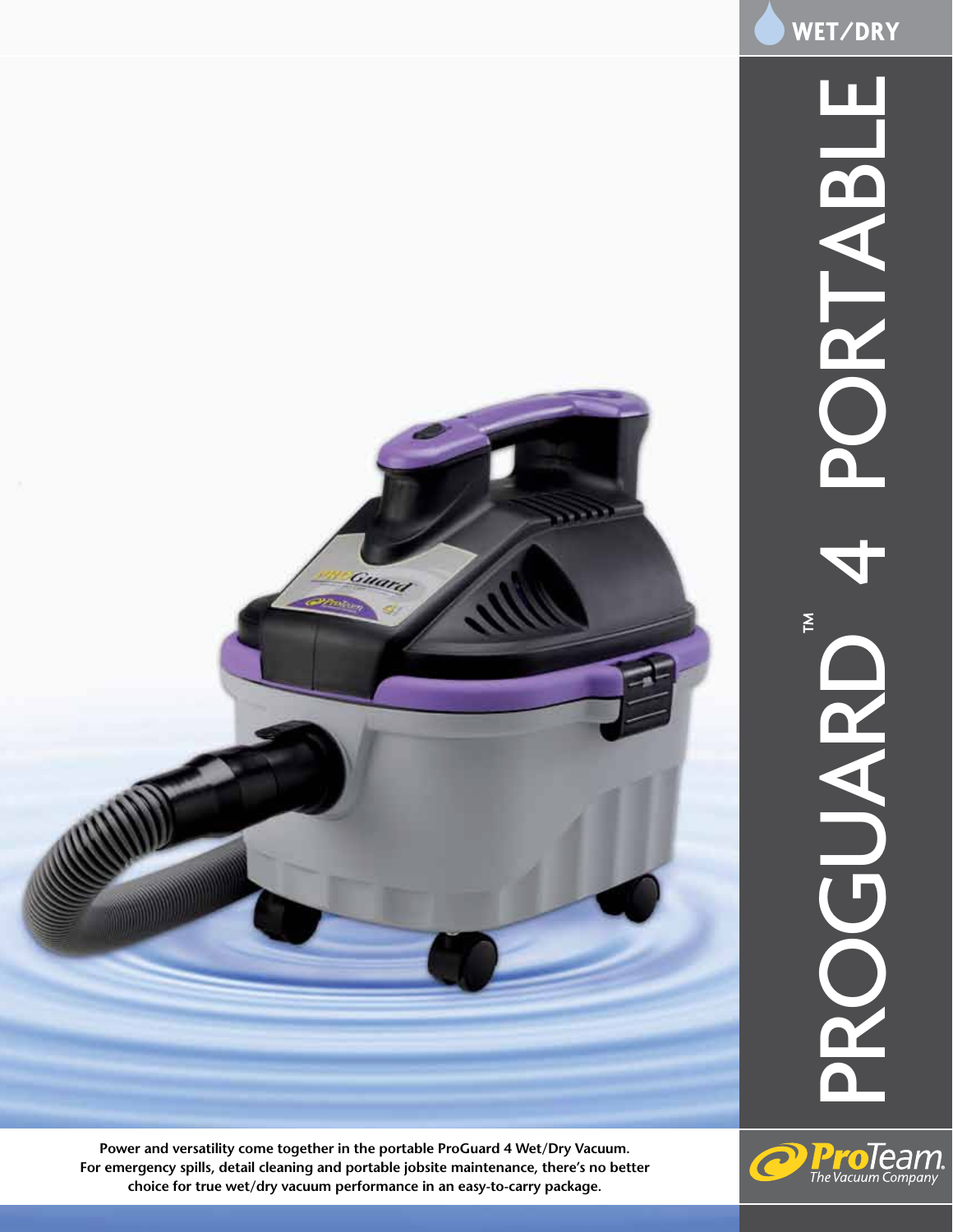

Ć

**Proleam** 

**Power and versatility come together in the portable ProGuard 4 Wet/Dry Vacuum. For emergency spills, detail cleaning and portable jobsite maintenance, there's no better choice for true wet/dry vacuum performance in an easy-to-carry package.**